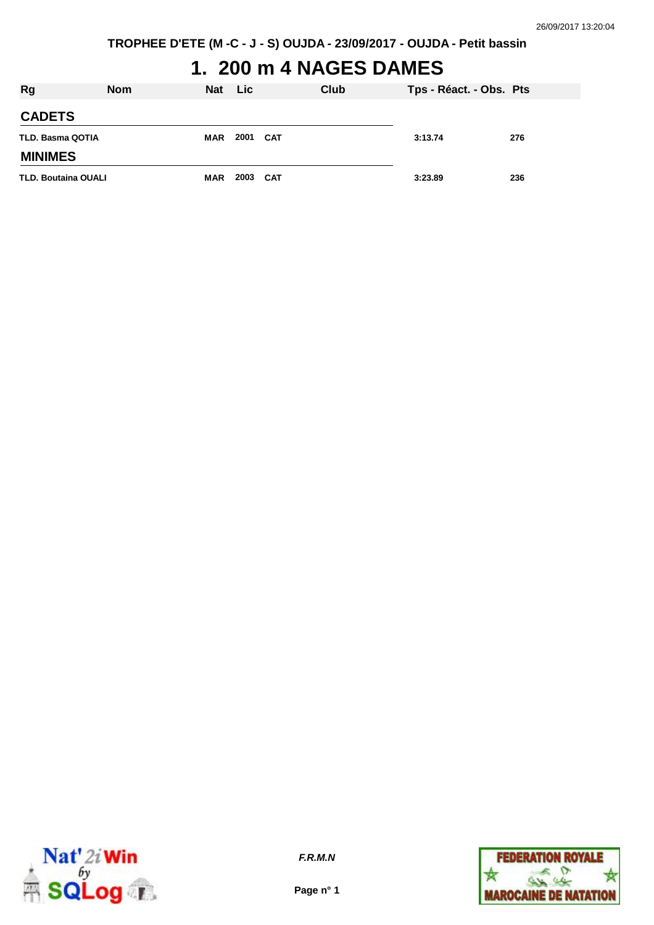# **1. 200 m 4 NAGES DAMES**

| <b>Rg</b>                  | <b>Nom</b> | <b>Nat</b> | <b>Lic</b> | Club | Tps - Réact. - Obs. Pts |     |
|----------------------------|------------|------------|------------|------|-------------------------|-----|
| <b>CADETS</b>              |            |            |            |      |                         |     |
| <b>TLD. Basma QOTIA</b>    |            | MAR        | 2001 CAT   |      | 3:13.74                 | 276 |
| <b>MINIMES</b>             |            |            |            |      |                         |     |
| <b>TLD. Boutaina OUALI</b> |            | <b>MAR</b> | 2003 CAT   |      | 3:23.89                 | 236 |



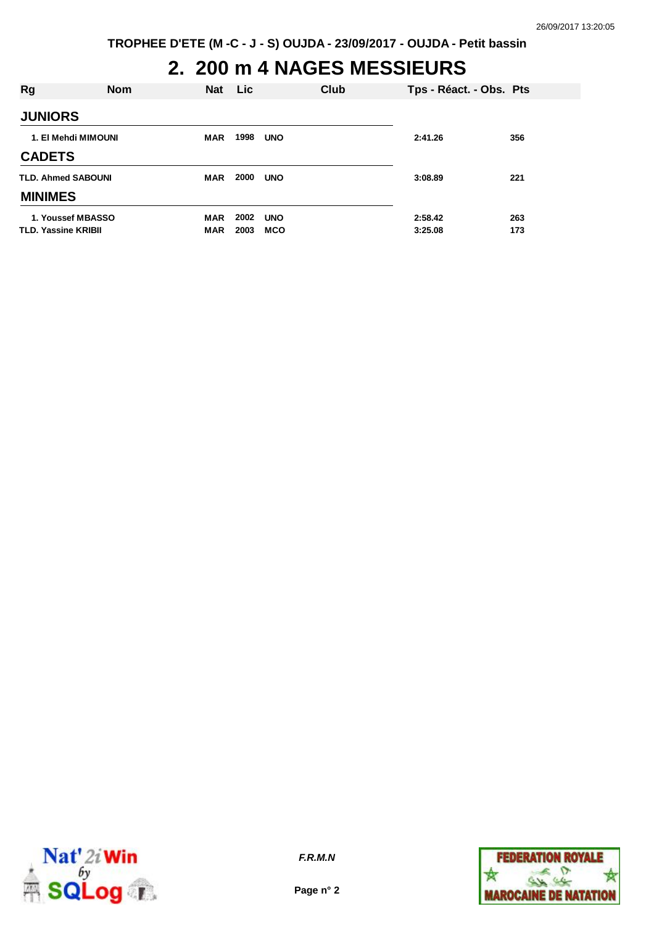#### **2. 200 m 4 NAGES MESSIEURS**

| <b>Rg</b>           | <b>Nom</b>          | <b>Nat</b> | Lic  | Club       |         | Tps - Réact. - Obs. Pts |
|---------------------|---------------------|------------|------|------------|---------|-------------------------|
| <b>JUNIORS</b>      |                     |            |      |            |         |                         |
|                     | 1. El Mehdi MIMOUNI | <b>MAR</b> | 1998 | <b>UNO</b> | 2:41.26 | 356                     |
| <b>CADETS</b>       |                     |            |      |            |         |                         |
| TLD. Ahmed SABOUNI  |                     | <b>MAR</b> | 2000 | <b>UNO</b> | 3:08.89 | 221                     |
| <b>MINIMES</b>      |                     |            |      |            |         |                         |
|                     | 1. Youssef MBASSO   | <b>MAR</b> | 2002 | <b>UNO</b> | 2:58.42 | 263                     |
| TLD. Yassine KRIBII |                     | <b>MAR</b> | 2003 | <b>MCO</b> | 3:25.08 | 173                     |



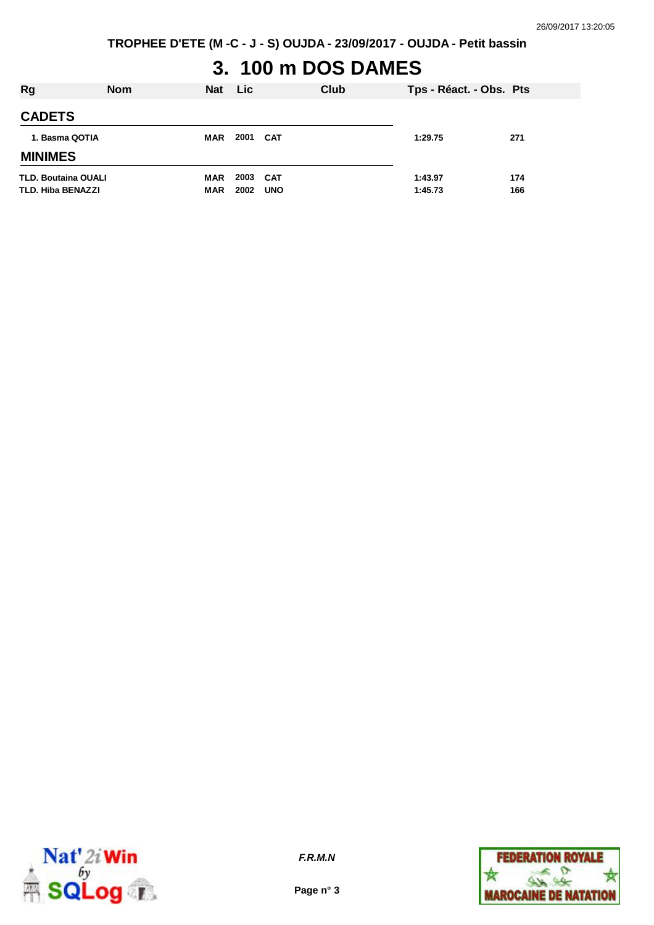# **3. 100 m DOS DAMES**

| Rg                         | <b>Nom</b> | <b>Nat</b> | <b>Lic</b> |            | Club | Tps - Réact. - Obs. Pts |     |
|----------------------------|------------|------------|------------|------------|------|-------------------------|-----|
| <b>CADETS</b>              |            |            |            |            |      |                         |     |
| 1. Basma QOTIA             |            | <b>MAR</b> | 2001 CAT   |            |      | 1:29.75                 | 271 |
| <b>MINIMES</b>             |            |            |            |            |      |                         |     |
| <b>TLD. Boutaina OUALI</b> |            | <b>MAR</b> | 2003 CAT   |            |      | 1:43.97                 | 174 |
| TLD. Hiba BENAZZI          |            | <b>MAR</b> | 2002       | <b>UNO</b> |      | 1:45.73                 | 166 |



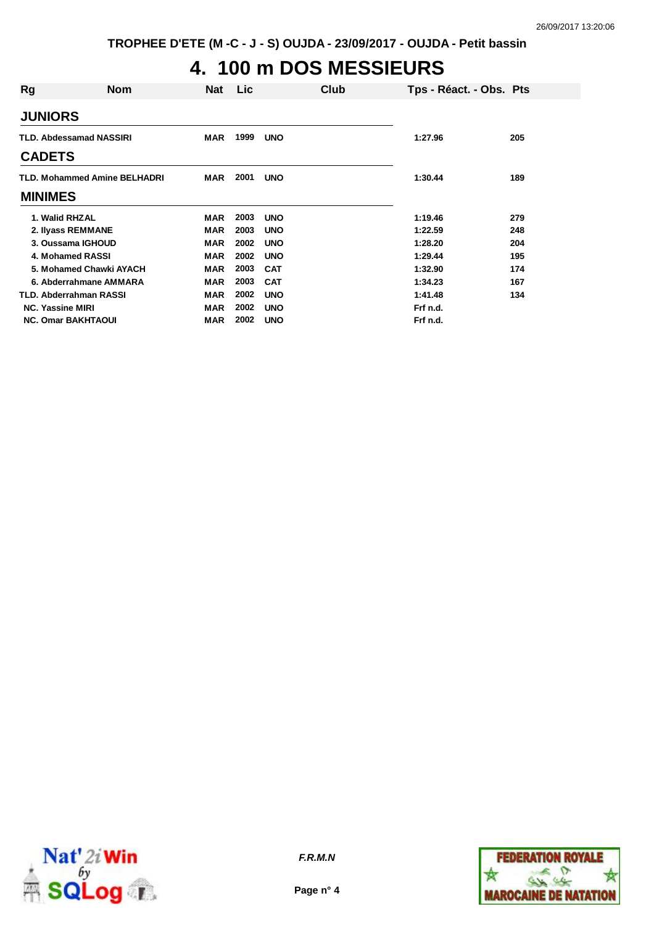# **4. 100 m DOS MESSIEURS**

| Rg<br><b>Nom</b>                    | <b>Nat</b> | <b>Lic</b> | Club       | Tps - Réact. - Obs. Pts |     |
|-------------------------------------|------------|------------|------------|-------------------------|-----|
| <b>JUNIORS</b>                      |            |            |            |                         |     |
| TLD. Abdessamad NASSIRI             | MAR        | 1999       | <b>UNO</b> | 1:27.96                 | 205 |
| <b>CADETS</b>                       |            |            |            |                         |     |
| <b>TLD. Mohammed Amine BELHADRI</b> | <b>MAR</b> | 2001       | <b>UNO</b> | 1:30.44                 | 189 |
| <b>MINIMES</b>                      |            |            |            |                         |     |
| 1. Walid RHZAL                      | <b>MAR</b> | 2003       | <b>UNO</b> | 1:19.46                 | 279 |
| 2. Ilyass REMMANE                   | <b>MAR</b> | 2003       | <b>UNO</b> | 1:22.59                 | 248 |
| 3. Oussama IGHOUD                   | <b>MAR</b> | 2002       | <b>UNO</b> | 1:28.20                 | 204 |
| 4. Mohamed RASSI                    | <b>MAR</b> | 2002       | <b>UNO</b> | 1:29.44                 | 195 |
| 5. Mohamed Chawki AYACH             | <b>MAR</b> | 2003       | <b>CAT</b> | 1:32.90                 | 174 |
| 6. Abderrahmane AMMARA              | <b>MAR</b> | 2003       | <b>CAT</b> | 1:34.23                 | 167 |
| TLD. Abderrahman RASSI              | <b>MAR</b> | 2002       | <b>UNO</b> | 1:41.48                 | 134 |
| <b>NC. Yassine MIRI</b>             | <b>MAR</b> | 2002       | <b>UNO</b> | Frf n.d.                |     |
| <b>NC. Omar BAKHTAOUI</b>           | <b>MAR</b> | 2002       | <b>UNO</b> | Frf n.d.                |     |



**Page n° 4**

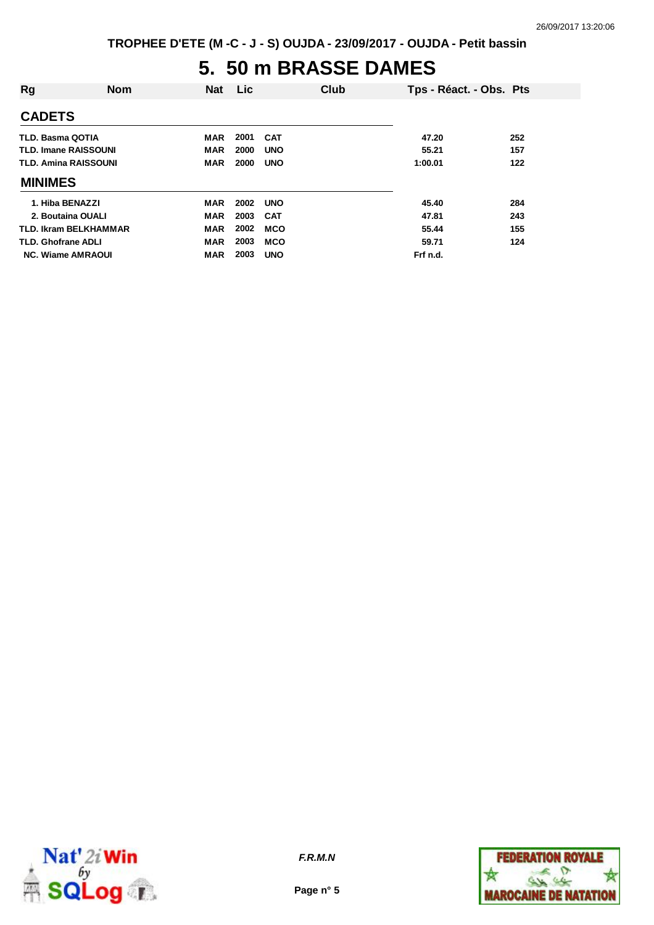#### **5. 50 m BRASSE DAMES**

| Rg                           | <b>Nom</b> | <b>Nat</b> | <b>Lic</b> |            | Club | Tps - Réact. - Obs. Pts |     |
|------------------------------|------------|------------|------------|------------|------|-------------------------|-----|
| <b>CADETS</b>                |            |            |            |            |      |                         |     |
| <b>TLD. Basma QOTIA</b>      |            | MAR        | 2001       | <b>CAT</b> |      | 47.20                   | 252 |
| <b>TLD. Imane RAISSOUNI</b>  |            | <b>MAR</b> | 2000       | <b>UNO</b> |      | 55.21                   | 157 |
| <b>TLD. Amina RAISSOUNI</b>  |            | <b>MAR</b> | 2000       | <b>UNO</b> |      | 1:00.01                 | 122 |
| <b>MINIMES</b>               |            |            |            |            |      |                         |     |
| 1. Hiba BENAZZI              |            | <b>MAR</b> | 2002       | <b>UNO</b> |      | 45.40                   | 284 |
|                              |            |            | 2003       |            |      |                         |     |
| 2. Boutaina OUALI            |            | <b>MAR</b> |            | <b>CAT</b> |      | 47.81                   | 243 |
| <b>TLD. Ikram BELKHAMMAR</b> |            | <b>MAR</b> | 2002       | <b>MCO</b> |      | 55.44                   | 155 |
| <b>TLD. Ghofrane ADLI</b>    |            | <b>MAR</b> | 2003       | <b>MCO</b> |      | 59.71                   | 124 |



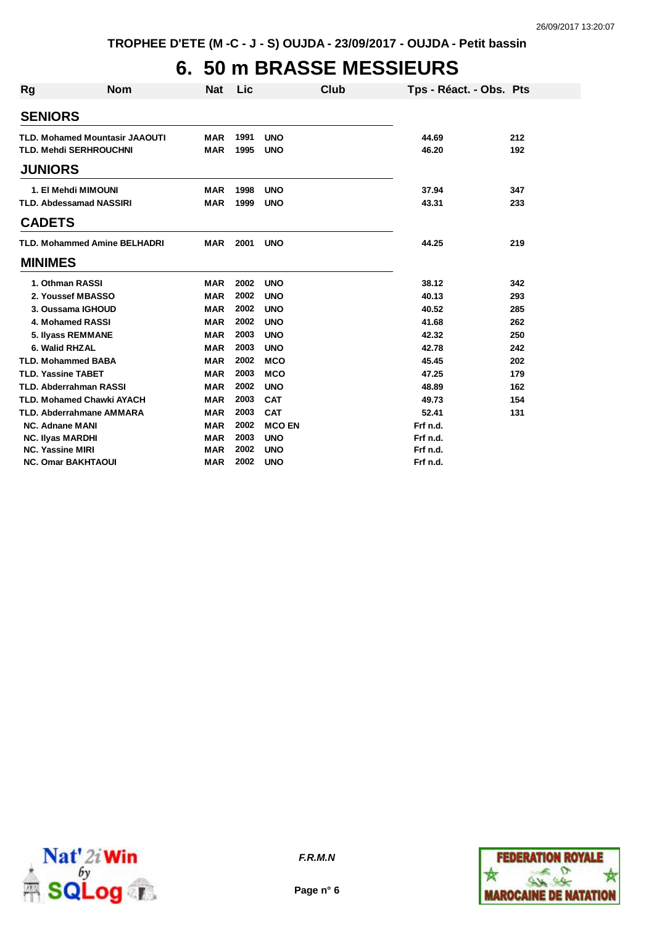## **6. 50 m BRASSE MESSIEURS**

| Rg             | <b>Nom</b>                            | <b>Nat</b> | Lic  | Club          | Tps - Réact. - Obs. Pts |     |
|----------------|---------------------------------------|------------|------|---------------|-------------------------|-----|
| <b>SENIORS</b> |                                       |            |      |               |                         |     |
|                | <b>TLD. Mohamed Mountasir JAAOUTI</b> | <b>MAR</b> | 1991 | <b>UNO</b>    | 44.69                   | 212 |
|                | TLD. Mehdi SERHROUCHNI                | <b>MAR</b> | 1995 | <b>UNO</b>    | 46.20                   | 192 |
| <b>JUNIORS</b> |                                       |            |      |               |                         |     |
|                | 1. El Mehdi MIMOUNI                   | <b>MAR</b> | 1998 | <b>UNO</b>    | 37.94                   | 347 |
|                | <b>TLD. Abdessamad NASSIRI</b>        | <b>MAR</b> | 1999 | <b>UNO</b>    | 43.31                   | 233 |
| <b>CADETS</b>  |                                       |            |      |               |                         |     |
|                | <b>TLD. Mohammed Amine BELHADRI</b>   | <b>MAR</b> | 2001 | <b>UNO</b>    | 44.25                   | 219 |
| <b>MINIMES</b> |                                       |            |      |               |                         |     |
|                | 1. Othman RASSI                       | <b>MAR</b> | 2002 | <b>UNO</b>    | 38.12                   | 342 |
|                | 2. Youssef MBASSO                     | <b>MAR</b> | 2002 | <b>UNO</b>    | 40.13                   | 293 |
|                | 3. Oussama IGHOUD                     | <b>MAR</b> | 2002 | <b>UNO</b>    | 40.52                   | 285 |
|                | 4. Mohamed RASSI                      | <b>MAR</b> | 2002 | <b>UNO</b>    | 41.68                   | 262 |
|                | 5. Ilyass REMMANE                     | <b>MAR</b> | 2003 | <b>UNO</b>    | 42.32                   | 250 |
|                | 6. Walid RHZAL                        | <b>MAR</b> | 2003 | <b>UNO</b>    | 42.78                   | 242 |
|                | <b>TLD. Mohammed BABA</b>             | <b>MAR</b> | 2002 | <b>MCO</b>    | 45.45                   | 202 |
|                | <b>TLD. Yassine TABET</b>             | <b>MAR</b> | 2003 | <b>MCO</b>    | 47.25                   | 179 |
|                | <b>TLD. Abderrahman RASSI</b>         | <b>MAR</b> | 2002 | <b>UNO</b>    | 48.89                   | 162 |
|                | <b>TLD. Mohamed Chawki AYACH</b>      | <b>MAR</b> | 2003 | <b>CAT</b>    | 49.73                   | 154 |
|                | <b>TLD. Abderrahmane AMMARA</b>       | <b>MAR</b> | 2003 | <b>CAT</b>    | 52.41                   | 131 |
|                | <b>NC. Adnane MANI</b>                | <b>MAR</b> | 2002 | <b>MCO EN</b> | Frf n.d.                |     |
|                | <b>NC. Ilyas MARDHI</b>               | <b>MAR</b> | 2003 | <b>UNO</b>    | Frf n.d.                |     |
|                | <b>NC. Yassine MIRI</b>               | <b>MAR</b> | 2002 | <b>UNO</b>    | Frf n.d.                |     |
|                | <b>NC. Omar BAKHTAOUI</b>             | <b>MAR</b> | 2002 | <b>UNO</b>    | Frf n.d.                |     |



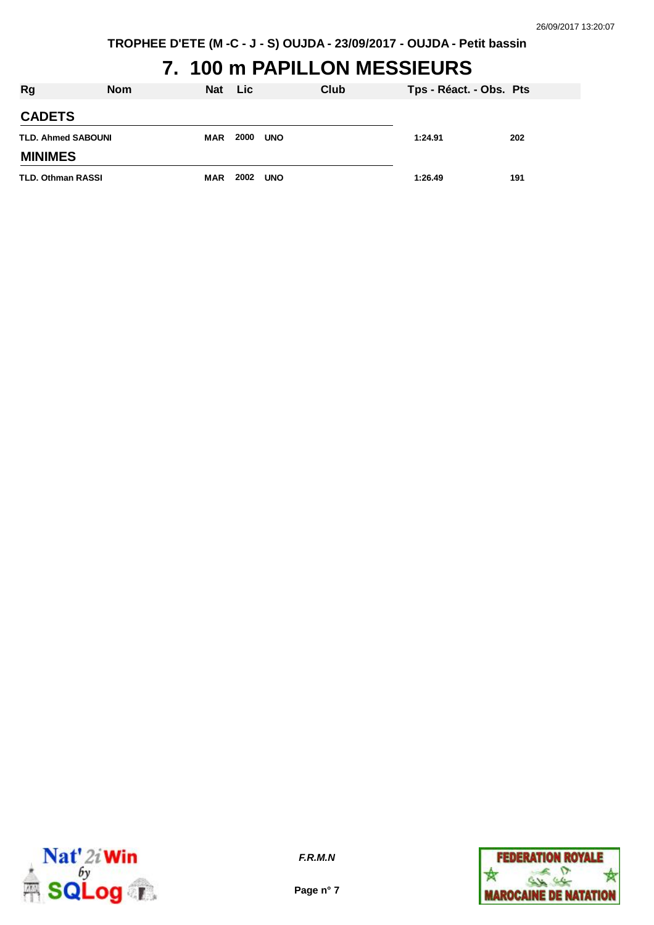# **7. 100 m PAPILLON MESSIEURS**

| <b>Rg</b>                 | <b>Nom</b> | Nat Lic    |      |            | Club | Tps - Réact. - Obs. Pts |     |
|---------------------------|------------|------------|------|------------|------|-------------------------|-----|
| <b>CADETS</b>             |            |            |      |            |      |                         |     |
| <b>TLD. Ahmed SABOUNI</b> |            | <b>MAR</b> | 2000 | <b>UNO</b> |      | 1:24.91                 | 202 |
| <b>MINIMES</b>            |            |            |      |            |      |                         |     |
| <b>TLD. Othman RASSI</b>  |            | <b>MAR</b> | 2002 | <b>UNO</b> |      | 1:26.49                 | 191 |



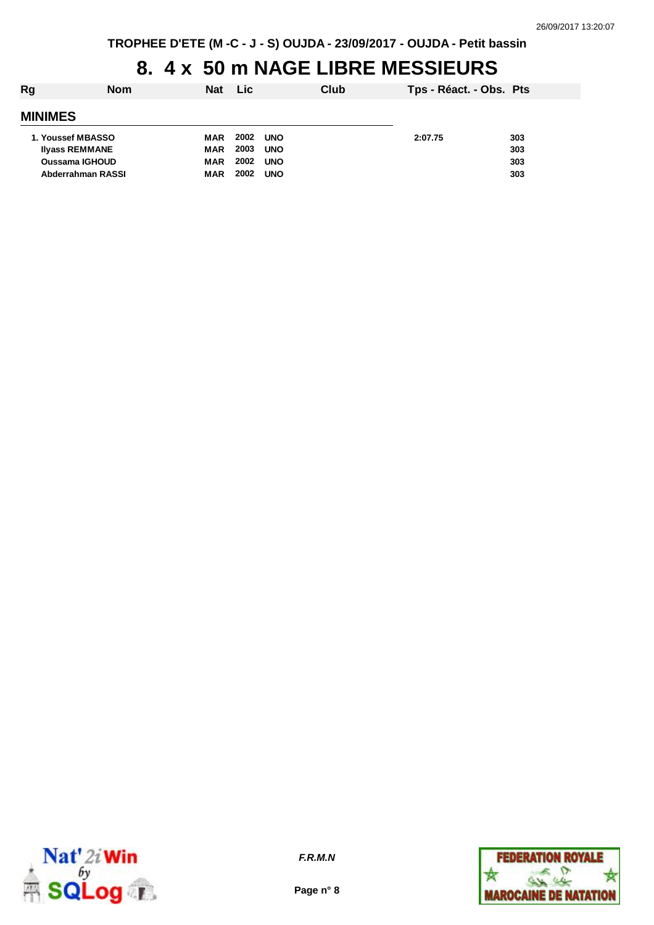#### **8. 4 x 50 m NAGE LIBRE MESSIEURS**

| Rg                    | <b>Nom</b> | Nat Lic |      |            | Club | Tps - Réact. - Obs. Pts |     |
|-----------------------|------------|---------|------|------------|------|-------------------------|-----|
| <b>MINIMES</b>        |            |         |      |            |      |                         |     |
| 1. Youssef MBASSO     |            | MAR     | 2002 | <b>UNO</b> |      | 2:07.75                 | 303 |
| <b>Ilyass REMMANE</b> |            | MAR     | 2003 | <b>UNO</b> |      |                         | 303 |
| <b>Oussama IGHOUD</b> |            | MAR     | 2002 | <b>UNO</b> |      |                         | 303 |
| Abderrahman RASSI     |            | MAR     | 2002 | <b>UNO</b> |      |                         | 303 |



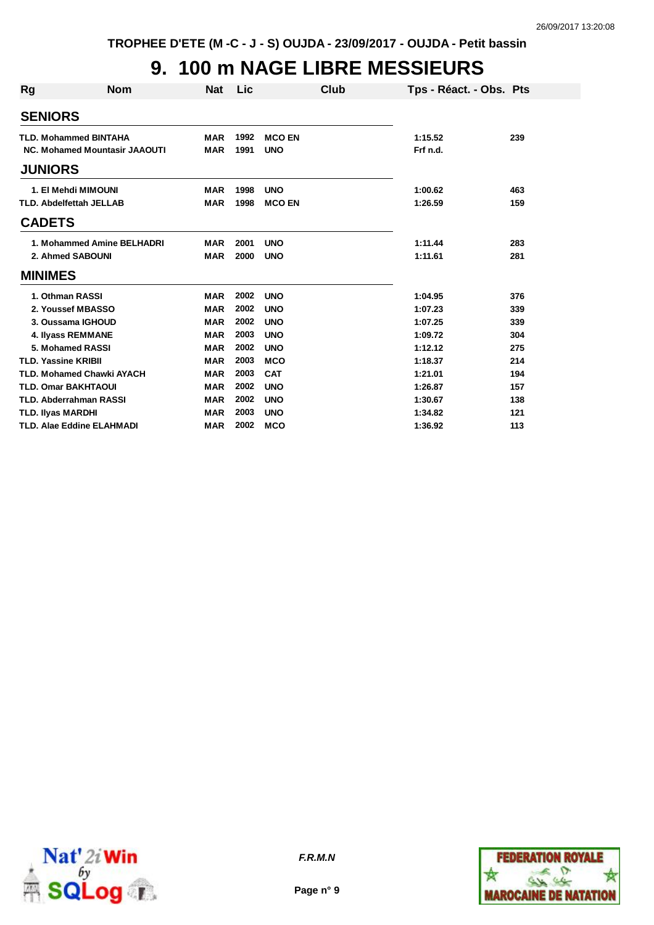## **9. 100 m NAGE LIBRE MESSIEURS**

| <b>Rg</b>                  | <b>Nom</b>                       | <b>Nat</b> | Lic  | Club          | Tps - Réact. - Obs. Pts |     |
|----------------------------|----------------------------------|------------|------|---------------|-------------------------|-----|
| <b>SENIORS</b>             |                                  |            |      |               |                         |     |
|                            | <b>TLD. Mohammed BINTAHA</b>     | <b>MAR</b> | 1992 | <b>MCO EN</b> | 1:15.52                 | 239 |
|                            | NC. Mohamed Mountasir JAAOUTI    | <b>MAR</b> | 1991 | <b>UNO</b>    | Frf n.d.                |     |
| <b>JUNIORS</b>             |                                  |            |      |               |                         |     |
|                            | 1. El Mehdi MIMOUNI              | <b>MAR</b> | 1998 | <b>UNO</b>    | 1:00.62                 | 463 |
|                            | <b>TLD. Abdelfettah JELLAB</b>   | <b>MAR</b> | 1998 | <b>MCO EN</b> | 1:26.59                 | 159 |
| <b>CADETS</b>              |                                  |            |      |               |                         |     |
|                            | 1. Mohammed Amine BELHADRI       | <b>MAR</b> | 2001 | <b>UNO</b>    | 1:11.44                 | 283 |
|                            | 2. Ahmed SABOUNI                 | <b>MAR</b> | 2000 | <b>UNO</b>    | 1:11.61                 | 281 |
| <b>MINIMES</b>             |                                  |            |      |               |                         |     |
|                            | 1. Othman RASSI                  | <b>MAR</b> | 2002 | <b>UNO</b>    | 1:04.95                 | 376 |
|                            | 2. Youssef MBASSO                | <b>MAR</b> | 2002 | <b>UNO</b>    | 1:07.23                 | 339 |
|                            | 3. Oussama IGHOUD                | <b>MAR</b> | 2002 | <b>UNO</b>    | 1:07.25                 | 339 |
|                            | <b>4. Ilyass REMMANE</b>         | <b>MAR</b> | 2003 | <b>UNO</b>    | 1:09.72                 | 304 |
|                            | 5. Mohamed RASSI                 | <b>MAR</b> | 2002 | <b>UNO</b>    | 1:12.12                 | 275 |
| <b>TLD. Yassine KRIBII</b> |                                  | <b>MAR</b> | 2003 | <b>MCO</b>    | 1:18.37                 | 214 |
|                            | <b>TLD. Mohamed Chawki AYACH</b> | <b>MAR</b> | 2003 | <b>CAT</b>    | 1:21.01                 | 194 |
|                            | <b>TLD. Omar BAKHTAOUI</b>       | <b>MAR</b> | 2002 | <b>UNO</b>    | 1:26.87                 | 157 |
|                            | <b>TLD. Abderrahman RASSI</b>    | <b>MAR</b> | 2002 | <b>UNO</b>    | 1:30.67                 | 138 |
| <b>TLD. Ilyas MARDHI</b>   |                                  | <b>MAR</b> | 2003 | <b>UNO</b>    | 1:34.82                 | 121 |
|                            | <b>TLD. Alae Eddine ELAHMADI</b> | <b>MAR</b> | 2002 | <b>MCO</b>    | 1:36.92                 | 113 |



**Page n° 9**

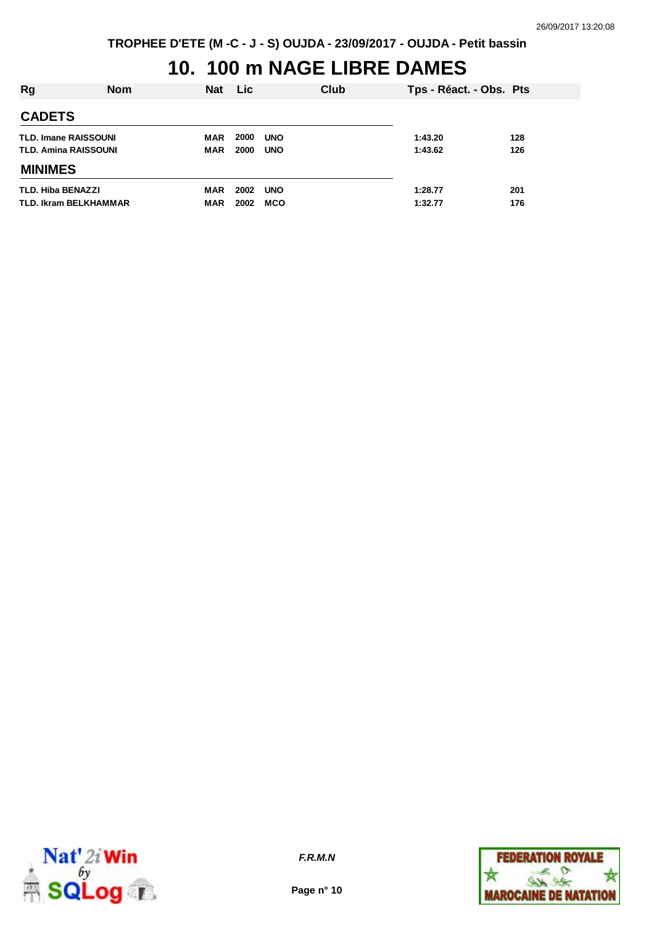## **10. 100 m NAGE LIBRE DAMES**

| Rg                                            | <b>Nom</b> | <b>Nat</b> | Lic  |            | Club | Tps - Réact. - Obs. Pts |     |
|-----------------------------------------------|------------|------------|------|------------|------|-------------------------|-----|
| <b>CADETS</b>                                 |            |            |      |            |      |                         |     |
| <b>TLD. Imane RAISSOUNI</b>                   |            | <b>MAR</b> | 2000 | <b>UNO</b> |      | 1:43.20                 | 128 |
| <b>TLD. Amina RAISSOUNI</b><br><b>MINIMES</b> |            | MAR        | 2000 | <b>UNO</b> |      | 1:43.62                 | 126 |
|                                               |            |            |      |            |      |                         |     |
| TLD. Hiba BENAZZI                             |            | <b>MAR</b> | 2002 | <b>UNO</b> |      | 1:28.77                 | 201 |
| TLD. Ikram BELKHAMMAR                         |            | <b>MAR</b> | 2002 | MCO        |      | 1:32.77                 | 176 |



*F.R.M.N*

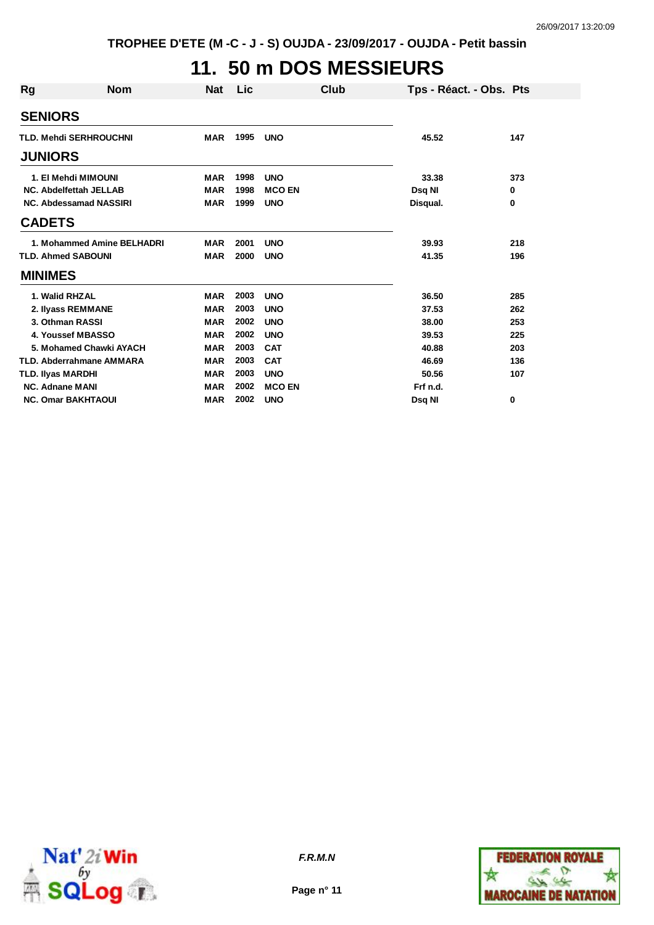## **11. 50 m DOS MESSIEURS**

| Rg                       | <b>Nom</b>                      | <b>Nat</b> | Lic  |               | Club | Tps - Réact. - Obs. Pts |     |
|--------------------------|---------------------------------|------------|------|---------------|------|-------------------------|-----|
| <b>SENIORS</b>           |                                 |            |      |               |      |                         |     |
|                          | <b>TLD. Mehdi SERHROUCHNI</b>   | <b>MAR</b> | 1995 | <b>UNO</b>    |      | 45.52                   | 147 |
| <b>JUNIORS</b>           |                                 |            |      |               |      |                         |     |
|                          | 1. El Mehdi MIMOUNI             | MAR        | 1998 | <b>UNO</b>    |      | 33.38                   | 373 |
|                          | <b>NC. Abdelfettah JELLAB</b>   | <b>MAR</b> | 1998 | <b>MCO EN</b> |      | Dsq NI                  | 0   |
|                          | <b>NC. Abdessamad NASSIRI</b>   | <b>MAR</b> | 1999 | <b>UNO</b>    |      | Disqual.                | 0   |
| <b>CADETS</b>            |                                 |            |      |               |      |                         |     |
|                          | 1. Mohammed Amine BELHADRI      | <b>MAR</b> | 2001 | <b>UNO</b>    |      | 39.93                   | 218 |
|                          | <b>TLD. Ahmed SABOUNI</b>       | <b>MAR</b> | 2000 | <b>UNO</b>    |      | 41.35                   | 196 |
| <b>MINIMES</b>           |                                 |            |      |               |      |                         |     |
|                          | 1. Walid RHZAL                  | <b>MAR</b> | 2003 | <b>UNO</b>    |      | 36.50                   | 285 |
|                          | 2. Ilyass REMMANE               | <b>MAR</b> | 2003 | <b>UNO</b>    |      | 37.53                   | 262 |
|                          | 3. Othman RASSI                 | <b>MAR</b> | 2002 | <b>UNO</b>    |      | 38.00                   | 253 |
|                          | 4. Youssef MBASSO               | <b>MAR</b> | 2002 | <b>UNO</b>    |      | 39.53                   | 225 |
|                          | 5. Mohamed Chawki AYACH         | <b>MAR</b> | 2003 | <b>CAT</b>    |      | 40.88                   | 203 |
|                          | <b>TLD. Abderrahmane AMMARA</b> | <b>MAR</b> | 2003 | <b>CAT</b>    |      | 46.69                   | 136 |
| <b>TLD. Ilyas MARDHI</b> |                                 | <b>MAR</b> | 2003 | <b>UNO</b>    |      | 50.56                   | 107 |
| <b>NC. Adnane MANI</b>   |                                 | <b>MAR</b> | 2002 | <b>MCO EN</b> |      | Frf n.d.                |     |
|                          | <b>NC. Omar BAKHTAOUI</b>       | <b>MAR</b> | 2002 | <b>UNO</b>    |      | Dsg NI                  | 0   |



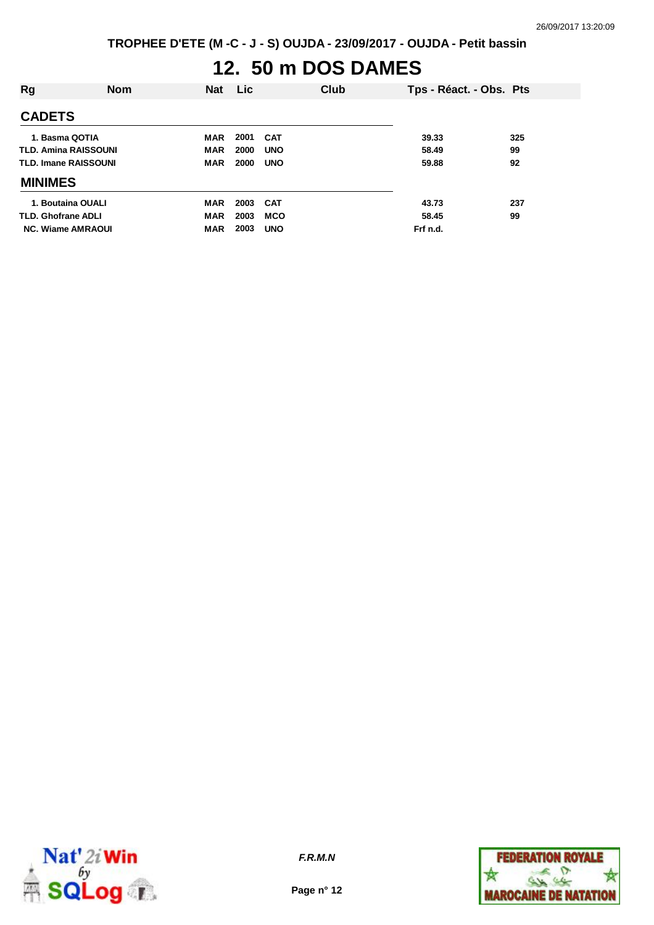## **12. 50 m DOS DAMES**

| Rg                          | <b>Nom</b> | <b>Nat</b> | <b>Lic</b> |            | Club | Tps - Réact. - Obs. Pts |     |
|-----------------------------|------------|------------|------------|------------|------|-------------------------|-----|
| <b>CADETS</b>               |            |            |            |            |      |                         |     |
| 1. Basma QOTIA              |            | <b>MAR</b> | 2001       | <b>CAT</b> |      | 39.33                   | 325 |
| <b>TLD. Amina RAISSOUNI</b> |            | <b>MAR</b> | 2000       | <b>UNO</b> |      | 58.49                   | 99  |
| <b>TLD. Imane RAISSOUNI</b> |            | <b>MAR</b> | 2000       | <b>UNO</b> |      | 59.88                   | 92  |
| <b>MINIMES</b>              |            |            |            |            |      |                         |     |
| 1. Boutaina OUALI           |            | <b>MAR</b> | 2003       | <b>CAT</b> |      | 43.73                   | 237 |
| <b>TLD. Ghofrane ADLI</b>   |            | <b>MAR</b> | 2003       | <b>MCO</b> |      | 58.45                   | 99  |
| <b>NC. Wiame AMRAOUI</b>    |            | <b>MAR</b> | 2003       | <b>UNO</b> |      | Frf n.d.                |     |



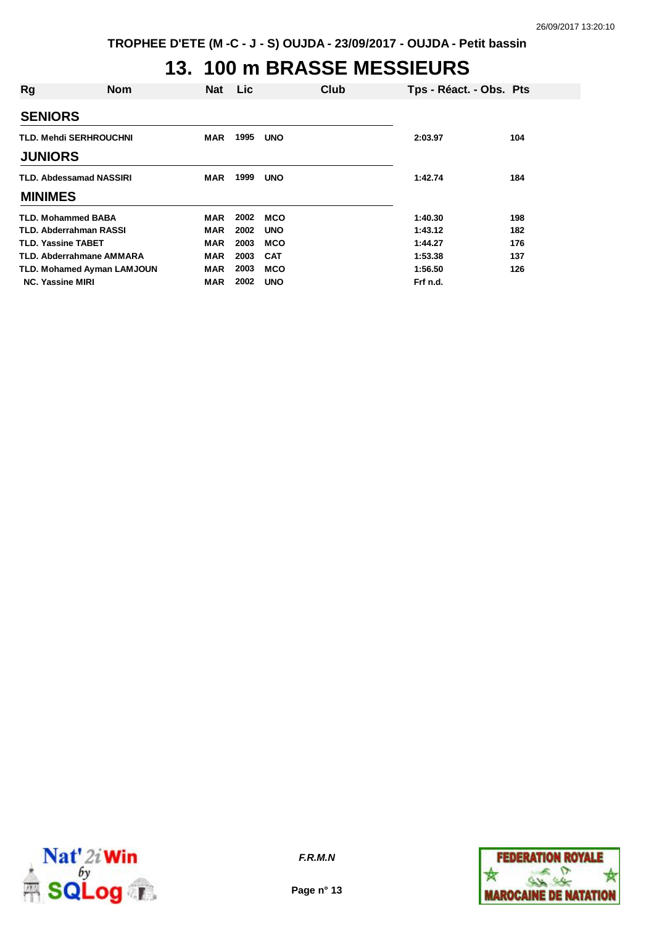# **13. 100 m BRASSE MESSIEURS**

| Rg                              | <b>Nom</b> | <b>Nat</b> | Lic. |            | Club | Tps - Réact. - Obs. Pts |     |
|---------------------------------|------------|------------|------|------------|------|-------------------------|-----|
| <b>SENIORS</b>                  |            |            |      |            |      |                         |     |
| <b>TLD. Mehdi SERHROUCHNI</b>   |            | <b>MAR</b> | 1995 | <b>UNO</b> |      | 2:03.97                 | 104 |
| <b>JUNIORS</b>                  |            |            |      |            |      |                         |     |
| <b>TLD. Abdessamad NASSIRI</b>  |            | <b>MAR</b> | 1999 | <b>UNO</b> |      | 1:42.74                 | 184 |
| <b>MINIMES</b>                  |            |            |      |            |      |                         |     |
| <b>TLD. Mohammed BABA</b>       |            | MAR        | 2002 | MCO        |      | 1:40.30                 | 198 |
| <b>TLD. Abderrahman RASSI</b>   |            | <b>MAR</b> | 2002 | <b>UNO</b> |      | 1:43.12                 | 182 |
| <b>TLD. Yassine TABET</b>       |            | <b>MAR</b> | 2003 | <b>MCO</b> |      | 1:44.27                 | 176 |
| <b>TLD. Abderrahmane AMMARA</b> |            | <b>MAR</b> | 2003 | <b>CAT</b> |      | 1:53.38                 | 137 |
| TLD. Mohamed Ayman LAMJOUN      |            | <b>MAR</b> | 2003 | <b>MCO</b> |      | 1:56.50                 | 126 |
| <b>NC. Yassine MIRI</b>         |            | MAR        | 2002 | <b>UNO</b> |      | Frf n.d.                |     |



**Page n° 13**

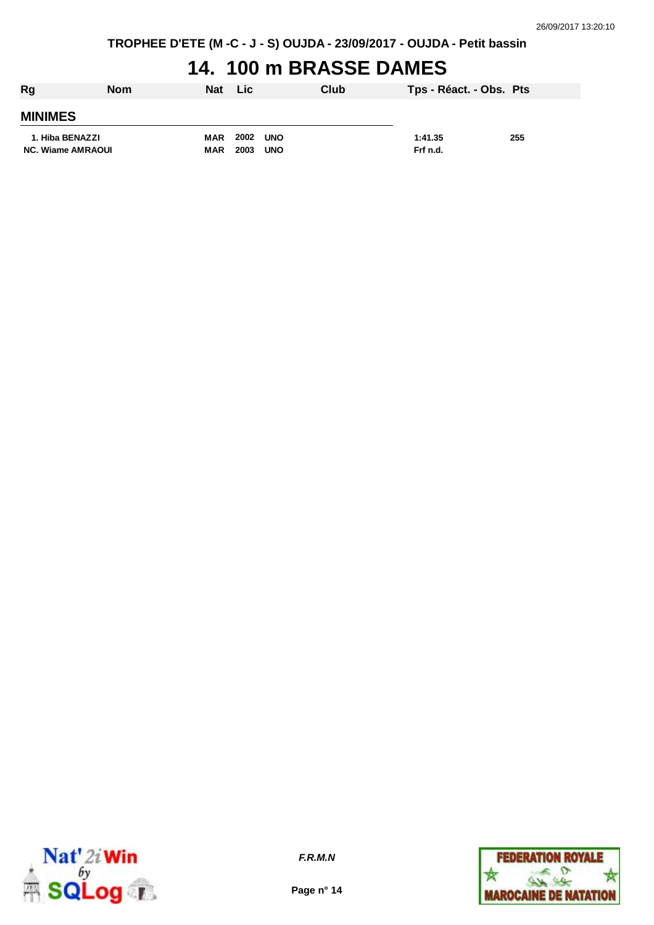## **14. 100 m BRASSE DAMES**

| Rg                       | <b>Nom</b> | Nat        | Lic  |            | Club | Tps - Réact. - Obs. Pts |     |
|--------------------------|------------|------------|------|------------|------|-------------------------|-----|
| <b>MINIMES</b>           |            |            |      |            |      |                         |     |
| 1. Hiba BENAZZI          |            | <b>MAR</b> | 2002 | <b>UNO</b> |      | 1:41.35                 | 255 |
| <b>NC. Wiame AMRAOUI</b> |            | <b>MAR</b> | 2003 | <b>UNO</b> |      | Frf n.d.                |     |



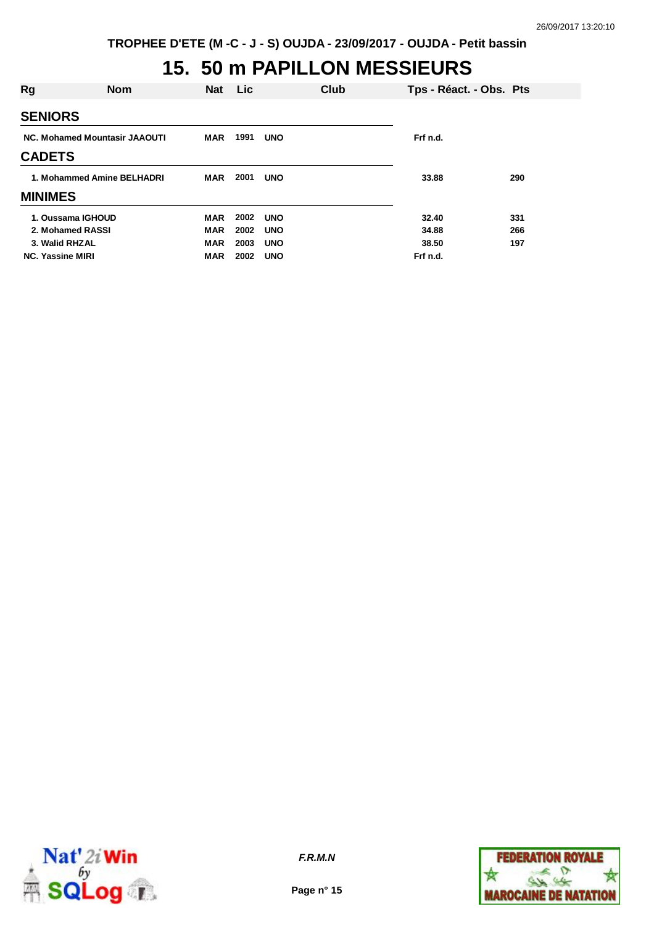# **15. 50 m PAPILLON MESSIEURS**

| Rg                            | <b>Nom</b>        | Nat        | <b>Lic</b> |            | Club | Tps - Réact. - Obs. Pts |     |
|-------------------------------|-------------------|------------|------------|------------|------|-------------------------|-----|
| <b>SENIORS</b>                |                   |            |            |            |      |                         |     |
| NC. Mohamed Mountasir JAAOUTI |                   | MAR        | 1991       | <b>UNO</b> |      | Frf n.d.                |     |
| <b>CADETS</b>                 |                   |            |            |            |      |                         |     |
| 1. Mohammed Amine BELHADRI    |                   | <b>MAR</b> | 2001       | <b>UNO</b> |      | 33.88                   | 290 |
| <b>MINIMES</b>                |                   |            |            |            |      |                         |     |
|                               | 1. Oussama IGHOUD | <b>MAR</b> | 2002       | <b>UNO</b> |      | 32.40                   | 331 |
|                               | 2. Mohamed RASSI  | <b>MAR</b> | 2002       | <b>UNO</b> |      | 34.88                   | 266 |
| 3. Walid RHZAL                |                   | <b>MAR</b> | 2003       | <b>UNO</b> |      | 38.50                   | 197 |
| <b>NC. Yassine MIRI</b>       |                   | <b>MAR</b> | 2002       | <b>UNO</b> |      | Frf n.d.                |     |



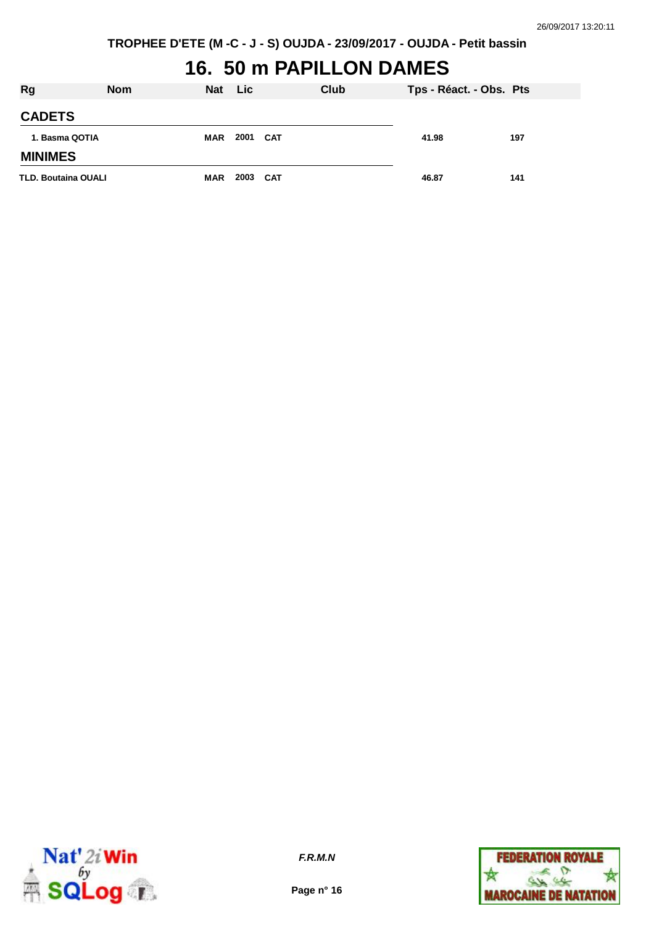#### **16. 50 m PAPILLON DAMES**

| Rg                         | <b>Nom</b> | Nat Lic    |          | Club | Tps - Réact. - Obs. Pts |     |
|----------------------------|------------|------------|----------|------|-------------------------|-----|
| <b>CADETS</b>              |            |            |          |      |                         |     |
| 1. Basma QOTIA             |            | <b>MAR</b> | 2001 CAT |      | 41.98                   | 197 |
| <b>MINIMES</b>             |            |            |          |      |                         |     |
| <b>TLD. Boutaina OUALI</b> |            | <b>MAR</b> | 2003 CAT |      | 46.87                   | 141 |